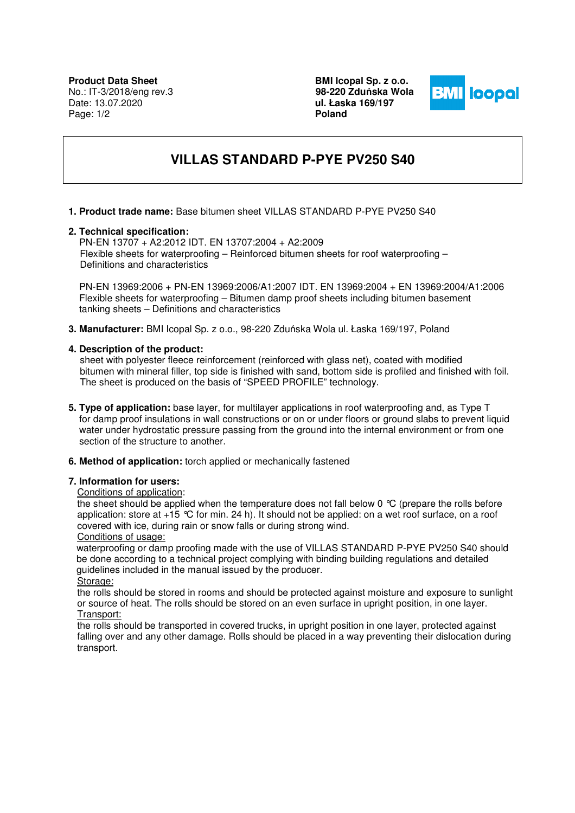**BMI Icopal Sp. z o.o. 98-220 Zdu**ń**ska Wola ul. Łaska 169/197 Poland** 



# **VILLAS STANDARD P-PYE PV250 S40**

### **1. Product trade name:** Base bitumen sheet VILLAS STANDARD P-PYE PV250 S40

#### **2. Technical specification:**

 PN-EN 13707 + A2:2012 IDT. EN 13707:2004 + A2:2009 Flexible sheets for waterproofing – Reinforced bitumen sheets for roof waterproofing – Definitions and characteristics

 PN-EN 13969:2006 + PN-EN 13969:2006/A1:2007 IDT. EN 13969:2004 + EN 13969:2004/A1:2006 Flexible sheets for waterproofing – Bitumen damp proof sheets including bitumen basement tanking sheets – Definitions and characteristics

**3. Manufacturer:** BMI Icopal Sp. z o.o., 98-220 Zduńska Wola ul. Łaska 169/197, Poland

### **4. Description of the product:**

 sheet with polyester fleece reinforcement (reinforced with glass net), coated with modified bitumen with mineral filler, top side is finished with sand, bottom side is profiled and finished with foil. The sheet is produced on the basis of "SPEED PROFILE" technology.

- **5. Type of application:** base layer, for multilayer applications in roof waterproofing and, as Type T for damp proof insulations in wall constructions or on or under floors or ground slabs to prevent liquid water under hydrostatic pressure passing from the ground into the internal environment or from one section of the structure to another.
- **6. Method of application:** torch applied or mechanically fastened

# **7. Information for users:**

#### Conditions of application:

the sheet should be applied when the temperature does not fall below 0 °C (prepare the rolls before application: store at +15 °C for min. 24 h). It should not be applied: on a wet roof surface, on a roof covered with ice, during rain or snow falls or during strong wind. Conditions of usage:

 waterproofing or damp proofing made with the use of VILLAS STANDARD P-PYE PV250 S40 should be done according to a technical project complying with binding building regulations and detailed guidelines included in the manual issued by the producer. Storage:

the rolls should be stored in rooms and should be protected against moisture and exposure to sunlight or source of heat. The rolls should be stored on an even surface in upright position, in one layer. Transport:

the rolls should be transported in covered trucks, in upright position in one layer, protected against falling over and any other damage. Rolls should be placed in a way preventing their dislocation during transport.